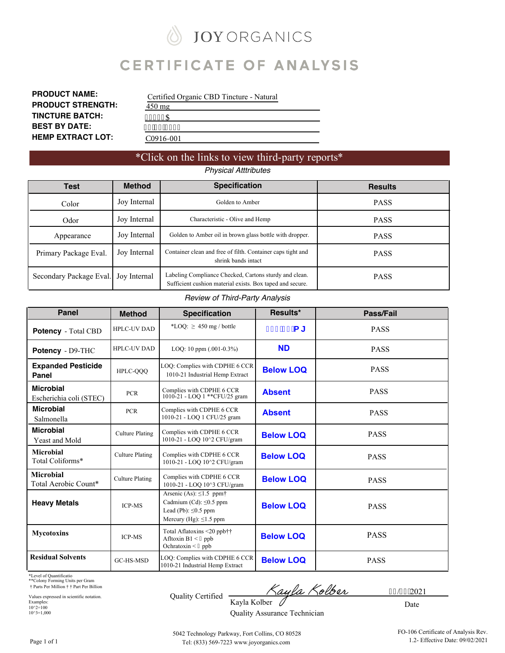# **JOY ORGANICS CERTIFICATE OF ANALYSIS**

| <b>PRODUCT NAME:</b>     |
|--------------------------|
| <b>PRODUCT STRENGTH:</b> |
| <b>TINCTURE BATCH:</b>   |
| <b>BEST BY DATE:</b>     |
| <b>HEMP EXTRACT LOT:</b> |

|                  | Certified Organic CBD Tincture - Natural |
|------------------|------------------------------------------|
| $450 \text{ mg}$ |                                          |
| 434: 6C          |                                          |
| 2614314245       |                                          |
| C0916-001        |                                          |

## \*Click on the links to view third-party reports\*

# *Physical Atttributes*

| Test                    | <b>Method</b> | <b>Specification</b>                                                                                                | <b>Results</b> |
|-------------------------|---------------|---------------------------------------------------------------------------------------------------------------------|----------------|
| Color                   | Joy Internal  | Golden to Amber                                                                                                     | <b>PASS</b>    |
| Odor                    | Joy Internal  | Characteristic - Olive and Hemp                                                                                     | <b>PASS</b>    |
| Appearance              | Joy Internal  | Golden to Amber oil in brown glass bottle with dropper.                                                             | <b>PASS</b>    |
| Primary Package Eval.   | Joy Internal  | Container clean and free of filth. Container caps tight and<br>shrink bands intact                                  | <b>PASS</b>    |
| Secondary Package Eval. | Joy Internal  | Labeling Compliance Checked, Cartons sturdy and clean.<br>Sufficient cushion material exists. Box taped and secure. | <b>PASS</b>    |

#### *Review of Third-Party Analysis*

| <b>Panel</b>                                | <b>Method</b>          | <b>Specification</b>                                                                                                       | Results*         | Pass/Fail   |
|---------------------------------------------|------------------------|----------------------------------------------------------------------------------------------------------------------------|------------------|-------------|
| <b>Potency</b> - Total CBD                  | <b>HPLC-UV DAD</b>     | *LOQ: $\geq 450$ mg / bottle                                                                                               | $)) * " + a [$   | <b>PASS</b> |
| Potency - D9-THC                            | <b>HPLC-UV DAD</b>     | LOQ: 10 ppm $(.001-0.3\%)$                                                                                                 | <b>ND</b>        | <b>PASS</b> |
| <b>Expanded Pesticide</b><br>Panel          | HPLC-OOO               | LOQ: Complies with CDPHE 6 CCR<br>1010-21 Industrial Hemp Extract                                                          | <b>Below LOQ</b> | <b>PASS</b> |
| <b>Microbial</b><br>Escherichia coli (STEC) | <b>PCR</b>             | Complies with CDPHE 6 CCR<br>1010-21 - LOQ 1 ** CFU/25 gram                                                                | <b>Absent</b>    | <b>PASS</b> |
| <b>Microbial</b><br>Salmonella              | <b>PCR</b>             | Complies with CDPHE 6 CCR<br>1010-21 - LOQ 1 CFU/25 gram                                                                   | <b>Absent</b>    | <b>PASS</b> |
| <b>Microbial</b><br><b>Yeast and Mold</b>   | <b>Culture Plating</b> | Complies with CDPHE 6 CCR<br>1010-21 - LOQ 10^2 CFU/gram                                                                   | <b>Below LOQ</b> | <b>PASS</b> |
| <b>Microbial</b><br>Total Coliforms*        | <b>Culture Plating</b> | Complies with CDPHE 6 CCR<br>1010-21 - LOO 10^2 CFU/gram                                                                   | <b>Below LOQ</b> | <b>PASS</b> |
| <b>Microbial</b><br>Total Aerobic Count*    | <b>Culture Plating</b> | Complies with CDPHE 6 CCR<br>1010-21 - LOQ 10^3 CFU/gram                                                                   | <b>Below LOQ</b> | <b>PASS</b> |
| <b>Heavy Metals</b>                         | <b>ICP-MS</b>          | Arsenic (As): $\leq$ 1.5 ppm†<br>Cadmium (Cd): $\leq 0.5$ ppm<br>Lead (Pb): $\leq 0.5$ ppm<br>Mercury (Hg): $\leq$ 1.5 ppm | <b>Below LOQ</b> | <b>PASS</b> |
| <b>Mycotoxins</b>                           | <b>ICP-MS</b>          | Total Aflatoxins <20 ppb††<br>Afltoxin $B1 < 7$ ppb<br>Ochratoxin < 7 ppb                                                  | <b>Below LOQ</b> | <b>PASS</b> |
| <b>Residual Solvents</b>                    | GC-HS-MSD              | LOQ: Complies with CDPHE 6 CCR<br>1010-21 Industrial Hemp Extract                                                          | <b>Below LOQ</b> | <b>PASS</b> |

\*Level of Quantificatio \*\*Colony Forming Units per Gram † Parts Per Million † † Part Per Billion

Values expressed in scientific notation. Examples: 10^2=100 10^3=1,000

ayla Kolber

32/4: 12021

0 Quality Assurance Technician

Date

5042 Technology Parkway, Fort Collins, CO 80528 Tel: (833) 569-7223 www.joyorganics.com

Kayla Kolber

Quality Certified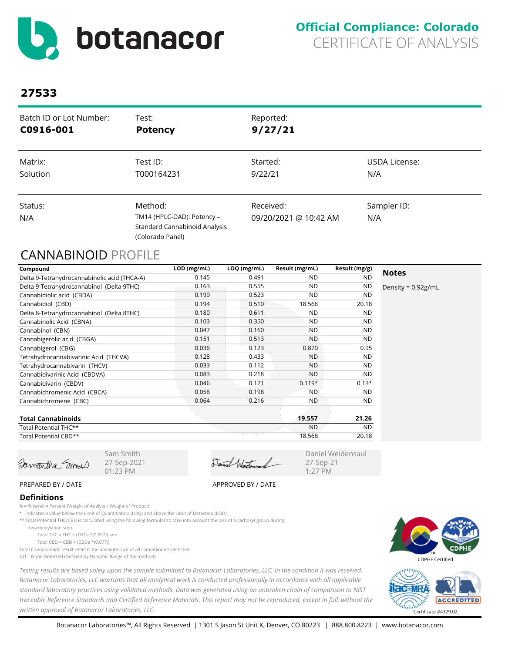<span id="page-1-0"></span>

| Batch ID or Lot Number:<br>C0916-001 | Test:<br><b>Potency</b>              | Reported:<br>9/27/21  |                      |
|--------------------------------------|--------------------------------------|-----------------------|----------------------|
| Matrix:                              | Test ID:                             | Started:              | <b>USDA License:</b> |
| Solution                             | T000164231                           | 9/22/21               | N/A                  |
| Status:                              | Method:                              | Received:             | Sampler ID:          |
| N/A                                  | TM14 (HPLC-DAD): Potency -           | 09/20/2021 @ 10:42 AM | N/A                  |
|                                      | <b>Standard Cannabinoid Analysis</b> |                       |                      |
|                                      | (Colorado Panel)                     |                       |                      |

# CANNABINOID PROFILE

| Compound                                     | LOD (mg/mL) | $LOQ$ (mg/mL) | Result (mg/mL) | Result (mg/g) |                       |
|----------------------------------------------|-------------|---------------|----------------|---------------|-----------------------|
| Delta 9-Tetrahydrocannabinolic acid (THCA-A) | 0.145       | 0.491         | <b>ND</b>      | <b>ND</b>     | <b>Notes</b>          |
| Delta 9-Tetrahydrocannabinol (Delta 9THC)    | 0.163       | 0.555         | <b>ND</b>      | ND            | Density = $0.92$ g/mL |
| Cannabidiolic acid (CBDA)                    | 0.199       | 0.523         | <b>ND</b>      | <b>ND</b>     |                       |
| Cannabidiol (CBD)                            | 0.194       | 0.510         | 18.568         | 20.18         |                       |
| Delta 8-Tetrahydrocannabinol (Delta 8THC)    | 0.180       | 0.611         | <b>ND</b>      | <b>ND</b>     |                       |
| Cannabinolic Acid (CBNA)                     | 0.103       | 0.350         | <b>ND</b>      | ND.           |                       |
| Cannabinol (CBN)                             | 0.047       | 0.160         | <b>ND</b>      | <b>ND</b>     |                       |
| Cannabigerolic acid (CBGA)                   | 0.151       | 0.513         | <b>ND</b>      | <b>ND</b>     |                       |
| Cannabigerol (CBG)                           | 0.036       | 0.123         | 0.870          | 0.95          |                       |
| Tetrahydrocannabivarinic Acid (THCVA)        | 0.128       | 0.433         | <b>ND</b>      | <b>ND</b>     |                       |
| Tetrahydrocannabivarin (THCV)                | 0.033       | 0.112         | <b>ND</b>      | <b>ND</b>     |                       |
| Cannabidivarinic Acid (CBDVA)                | 0.083       | 0.218         | <b>ND</b>      | <b>ND</b>     |                       |
| Cannabidivarin (CBDV)                        | 0.046       | 0.121         | $0.119*$       | $0.13*$       |                       |
| Cannabichromenic Acid (CBCA)                 | 0.058       | 0.198         | <b>ND</b>      | <b>ND</b>     |                       |
| Cannabichromene (CBC)                        | 0.064       | 0.216         | <b>ND</b>      | ND.           |                       |
| <b>Total Cannabinoids</b>                    |             |               | 19.557         | 21.26         |                       |
| Total Potential THC**                        |             |               | <b>ND</b>      | <b>ND</b>     |                       |
| Total Potential CBD**                        |             |               | 18.568         | 20.18         |                       |

Samantha Smoll

Sam Smith 27-Sep-2021 01:23 PM

Daniel Wertensand

Daniel Weidensaul 27-Sep-21 1:27 PM

#### PREPARED BY / DATE APPROVED BY / DATE

#### **Definitions**

- % = % (w/w) = Percent (Weight of Analyte / Weight of Product)
- \* Indicates a value below the Limit of Quantitiation (LOQ) and above the Limit of Detection (LOD).
- \*\* Total Potential THC/CBD is calculated using the following formulas to take into account the loss of a carboxyl group during
- decarboxylation step.
	- Total THC = THC + (THCa  $*(0.877)$ ) and
	- Total CBD = CBD + (CBDa \*(0.877))
- Total Cannabinoids result reflects the absolute sum of all cannabinoids detected.
- ND = None Detected (Defined by Dynamic Range of the method)





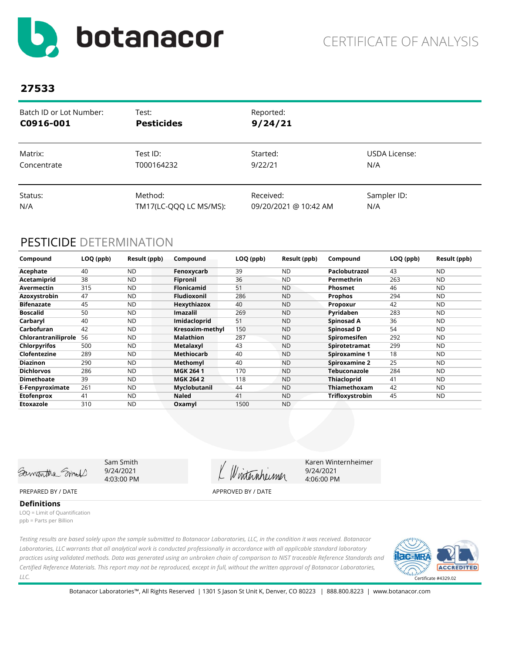<span id="page-2-0"></span>

| Batch ID or Lot Number: | Test:                  | Reported:             |               |
|-------------------------|------------------------|-----------------------|---------------|
| C0916-001               | <b>Pesticides</b>      | 9/24/21               |               |
| Matrix:                 | Test ID:               | Started:              | USDA License: |
| Concentrate             | T000164232             | 9/22/21               | N/A           |
| Status:                 | Method:                | Received:             | Sampler ID:   |
| N/A                     | TM17(LC-QQQ LC MS/MS): | 09/20/2021 @ 10:42 AM | N/A           |

# PESTICIDE DETERMINATION

| Compound            | LOQ (ppb) | Result (ppb) | Compound           | LOQ (ppb) | Result (ppb) | Compound            | LOQ (ppb) | Result (ppb) |
|---------------------|-----------|--------------|--------------------|-----------|--------------|---------------------|-----------|--------------|
| Acephate            | 40        | <b>ND</b>    | Fenoxycarb         | 39        | ND.          | Paclobutrazol       | 43        | <b>ND</b>    |
| Acetamiprid         | 38        | <b>ND</b>    | Fipronil           | 36        | <b>ND</b>    | Permethrin          | 263       | <b>ND</b>    |
| Avermectin          | 315       | <b>ND</b>    | <b>Flonicamid</b>  | 51        | <b>ND</b>    | <b>Phosmet</b>      | 46        | <b>ND</b>    |
| Azoxystrobin        | 47        | <b>ND</b>    | <b>Fludioxonil</b> | 286       | ND.          | Prophos             | 294       | <b>ND</b>    |
| <b>Bifenazate</b>   | 45        | <b>ND</b>    | Hexythiazox        | 40        | <b>ND</b>    | Propoxur            | 42        | <b>ND</b>    |
| <b>Boscalid</b>     | 50        | <b>ND</b>    | <b>Imazalil</b>    | 269       | <b>ND</b>    | Pyridaben           | 283       | <b>ND</b>    |
| Carbaryl            | 40        | <b>ND</b>    | Imidacloprid       | 51        | <b>ND</b>    | Spinosad A          | 36        | <b>ND</b>    |
| Carbofuran          | 42        | <b>ND</b>    | Kresoxim-methyl    | 150       | <b>ND</b>    | Spinosad D          | 54        | <b>ND</b>    |
| Chlorantraniliprole | 56        | <b>ND</b>    | <b>Malathion</b>   | 287       | <b>ND</b>    | Spiromesifen        | 292       | <b>ND</b>    |
| <b>Chlorpyrifos</b> | 500       | <b>ND</b>    | Metalaxyl          | 43        | <b>ND</b>    | Spirotetramat       | 299       | <b>ND</b>    |
| Clofentezine        | 289       | <b>ND</b>    | Methiocarb         | 40        | <b>ND</b>    | Spiroxamine 1       | 18        | <b>ND</b>    |
| <b>Diazinon</b>     | 290       | <b>ND</b>    | Methomyl           | 40        | <b>ND</b>    | Spiroxamine 2       | 25        | <b>ND</b>    |
| <b>Dichlorvos</b>   | 286       | <b>ND</b>    | <b>MGK 2641</b>    | 170       | <b>ND</b>    | <b>Tebuconazole</b> | 284       | <b>ND</b>    |
| <b>Dimethoate</b>   | 39        | <b>ND</b>    | <b>MGK 264 2</b>   | 118       | <b>ND</b>    | <b>Thiacloprid</b>  | 41        | <b>ND</b>    |
| E-Fenpyroximate     | 261       | <b>ND</b>    | Myclobutanil       | 44        | <b>ND</b>    | Thiamethoxam        | 42        | <b>ND</b>    |
| <b>Etofenprox</b>   | 41        | <b>ND</b>    | <b>Naled</b>       | 41        | <b>ND</b>    | Trifloxystrobin     | 45        | <b>ND</b>    |
| Etoxazole           | 310       | <b>ND</b>    | Oxamyl             | 1500      | <b>ND</b>    |                     |           |              |

Samantha Smil

Sam Smith 9/24/2021 4:03:00 PM

Winternheimer

Karen Winternheimer 9/24/2021 4:06:00 PM

#### PREPARED BY / DATE APPROVED BY / DATE

**Definitions**

LOQ = Limit of Quantification ppb = Parts per Billion

*Testing results are based solely upon the sample submitted to Botanacor Laboratories, LLC, in the condition it was received. Botanacor Laboratories, LLC warrants that all analytical work is conducted professionally in accordance with all applicable standard laboratory practices using validated methods. Data was generated using an unbroken chain of comparison to NIST traceable Reference Standards and Certified Reference Materials. This report may not be reproduced, except in full, without the written approval of Botanacor Laboratories, LLC.* 

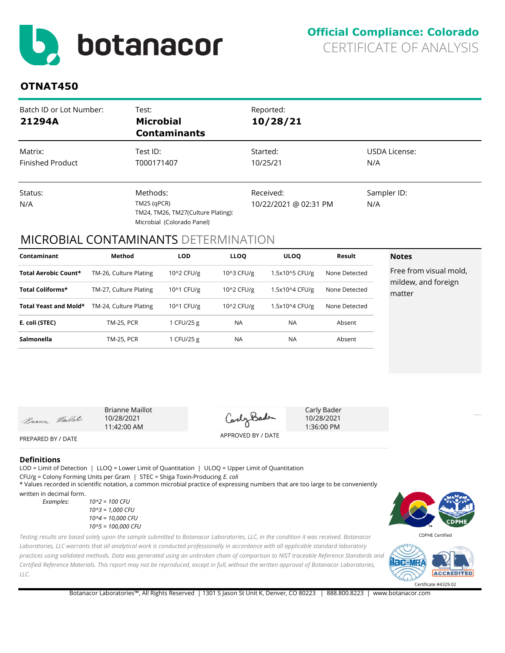<span id="page-3-0"></span>

# **OTNAT450**

| Batch ID or Lot Number:<br>21294A  | Test:<br><b>Microbial</b><br><b>Contaminants</b>                                              | Reported:<br>10/28/21              |                      |
|------------------------------------|-----------------------------------------------------------------------------------------------|------------------------------------|----------------------|
| Matrix:<br><b>Finished Product</b> | Test ID:<br>T000171407                                                                        | Started:<br>10/25/21               | USDA License:<br>N/A |
| Status:<br>N/A                     | Methods:<br>$TM25$ (qPCR)<br>TM24, TM26, TM27(Culture Plating):<br>Microbial (Colorado Panel) | Received:<br>10/22/2021 @ 02:31 PM | Sampler ID:<br>N/A   |

## MICROBIAL CONTAMINANTS DETERMINATION

| Contaminant           | Method                 | <b>LOD</b> | <b>LLOQ</b> | <b>ULOO</b>    | Result        | <b>Notes</b>                  |
|-----------------------|------------------------|------------|-------------|----------------|---------------|-------------------------------|
| Total Aerobic Count*  | TM-26, Culture Plating | 10^2 CFU/g | 10^3 CFU/g  | 1.5x10^5 CFU/g | None Detected | Free from visual mold,        |
| Total Coliforms*      | TM-27, Culture Plating | 10^1 CFU/g | 10^2 CFU/g  | 1.5x10^4 CFU/g | None Detected | mildew, and foreign<br>matter |
| Total Yeast and Mold* | TM-24, Culture Plating | 10^1 CFU/g | 10^2 CFU/g  | 1.5x10^4 CFU/g | None Detected |                               |
| E. coli (STEC)        | <b>TM-25, PCR</b>      | 1 CFU/25 g | <b>NA</b>   | <b>NA</b>      | Absent        |                               |
| Salmonella            | <b>TM-25, PCR</b>      | 1 CFU/25 g | <b>NA</b>   | <b>NA</b>      | Absent        |                               |

Buanne Maillot

Brianne Maillot 10/28/2021 11:42:00 AM

CarlyBade

APPROVED BY / DATE

Carly Bader 10/28/2021 1:36:00 PM

PREPARED BY / DATE

#### **Definitions**

LOD = Limit of Detection | LLOQ = Lower Limit of Quantitation | ULOQ = Upper Limit of Quantitation CFU/g = Colony Forming Units per Gram | STEC = Shiga Toxin-Producing *E. coli* \* Values recorded in scientific notation, a common microbial practice of expressing numbers that are too large to be conveniently

written in decimal form.

*Examples: 10^2 = 100 CFU 10^3 = 1,000 CFU 10^4 = 10,000 CFU 10^5 = 100,000 CFU*

*Testing results are based solely upon the sample submitted to Botanacor Laboratories, LLC, in the condition it was received. Botanacor Laboratories, LLC warrants that all analytical work is conducted professionally in accordance with all applicable standard laboratory practices using validated methods. Data was generated using an unbroken chain of comparison to NIST traceable Reference Standards and Certified Reference Materials. This report may not be reproduced, except in full, without the written approval of Botanacor Laboratories, LLC.* 





Botanacor Laboratories™, All Rights Reserved | 1301 S Jason St Unit K, Denver, CO 80223 | 888.800.8223 | www.botanacor.com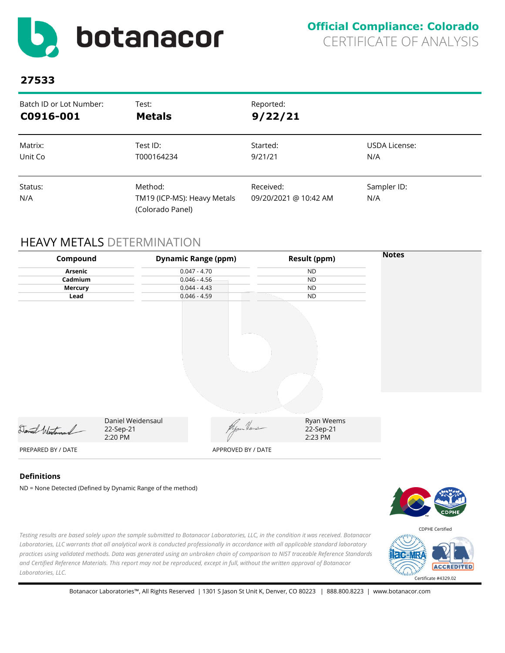<span id="page-4-0"></span>

| Batch ID or Lot Number: | Test:                                                      | Reported:                          |                    |
|-------------------------|------------------------------------------------------------|------------------------------------|--------------------|
| C0916-001               | <b>Metals</b>                                              | 9/22/21                            |                    |
| Matrix:                 | Test ID:                                                   | Started:                           | USDA License:      |
| Unit Co                 | T000164234                                                 | 9/21/21                            | N/A                |
| Status:<br>N/A          | Method:<br>TM19 (ICP-MS): Heavy Metals<br>(Colorado Panel) | Received:<br>09/20/2021 @ 10:42 AM | Sampler ID:<br>N/A |

# HEAVY METALS DETERMINATION

| Compound           |                                                             | <b>Dynamic Range (ppm)</b> | <b>Result (ppm)</b>                | <b>Notes</b>   |
|--------------------|-------------------------------------------------------------|----------------------------|------------------------------------|----------------|
| Arsenic            |                                                             | $0.047 - 4.70$             | <b>ND</b>                          |                |
| Cadmium            |                                                             | $0.046 - 4.56$             | <b>ND</b><br><b>ND</b>             |                |
| <b>Mercury</b>     |                                                             | $0.044 - 4.43$             |                                    |                |
| Lead               |                                                             | $0.046 - 4.59$             | <b>ND</b>                          |                |
|                    |                                                             |                            |                                    |                |
| Daniel Wertonsand  | Daniel Weidensaul<br>22-Sep-21<br>2:20 PM                   | Ryan Heus                  | Ryan Weems<br>22-Sep-21<br>2:23 PM |                |
| PREPARED BY / DATE |                                                             | APPROVED BY / DATE         |                                    |                |
| <b>Definitions</b> | ND = None Detected (Defined by Dynamic Range of the method) |                            |                                    | <b>MAN MAN</b> |





*practices using validated methods. Data was generated using an unbroken chain of comparison to NIST traceable Reference Standards and Certified Reference Materials. This report may not be reproduced, except in full, without the written approval of Botanacor Laboratories, LLC.*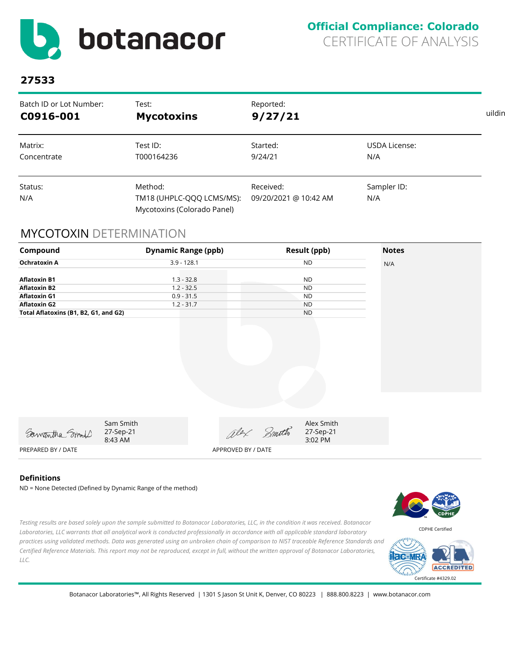<span id="page-5-0"></span>

| Batch ID or Lot Number: | Test:                                                               | Reported:                          |                    |  |
|-------------------------|---------------------------------------------------------------------|------------------------------------|--------------------|--|
| C0916-001               | <b>Mycotoxins</b>                                                   | 9/27/21                            |                    |  |
| Matrix:                 | Test ID:                                                            | Started:                           | USDA License:      |  |
| Concentrate             | T000164236                                                          | 9/24/21                            | N/A                |  |
| Status:<br>N/A          | Method:<br>TM18 (UHPLC-QQQ LCMS/MS):<br>Mycotoxins (Colorado Panel) | Received:<br>09/20/2021 @ 10:42 AM | Sampler ID:<br>N/A |  |

# MYCOTOXIN DETERMINATION

| Compound                                   | <b>Dynamic Range (ppb)</b>        |                    |       | <b>Result (ppb)</b>                | <b>Notes</b> |
|--------------------------------------------|-----------------------------------|--------------------|-------|------------------------------------|--------------|
| <b>Ochratoxin A</b>                        | $3.9 - 128.1$                     |                    |       | <b>ND</b>                          | N/A          |
| <b>Aflatoxin B1</b><br><b>Aflatoxin B2</b> | $1.3 - 32.8$<br>$1.2 - 32.5$      |                    |       | <b>ND</b><br><b>ND</b>             |              |
| <b>Aflatoxin G1</b>                        | $0.9 - 31.5$                      |                    |       | <b>ND</b>                          |              |
| <b>Aflatoxin G2</b>                        | $1.2 - 31.7$                      |                    |       | <b>ND</b>                          |              |
| Total Aflatoxins (B1, B2, G1, and G2)      |                                   |                    |       | <b>ND</b>                          |              |
|                                            |                                   |                    |       |                                    |              |
| Samantha Smoll                             | Sam Smith<br>27-Sep-21<br>8:43 AM | alex               | Smith | Alex Smith<br>27-Sep-21<br>3:02 PM |              |
| PREPARED BY / DATE                         |                                   | APPROVED BY / DATE |       |                                    |              |

#### **Definitions**

ND = None Detected (Defined by Dynamic Range of the method)



*Testing results are based solely upon the sample submitted to Botanacor Laboratories, LLC, in the condition it was received. Botanacor Laboratories, LLC warrants that all analytical work is conducted professionally in accordance with all applicable standard laboratory practices using validated methods. Data was generated using an unbroken chain of comparison to NIST traceable Reference Standards and Certified Reference Materials. This report may not be reproduced, except in full, without the written approval of Botanacor Laboratories, LLC.*